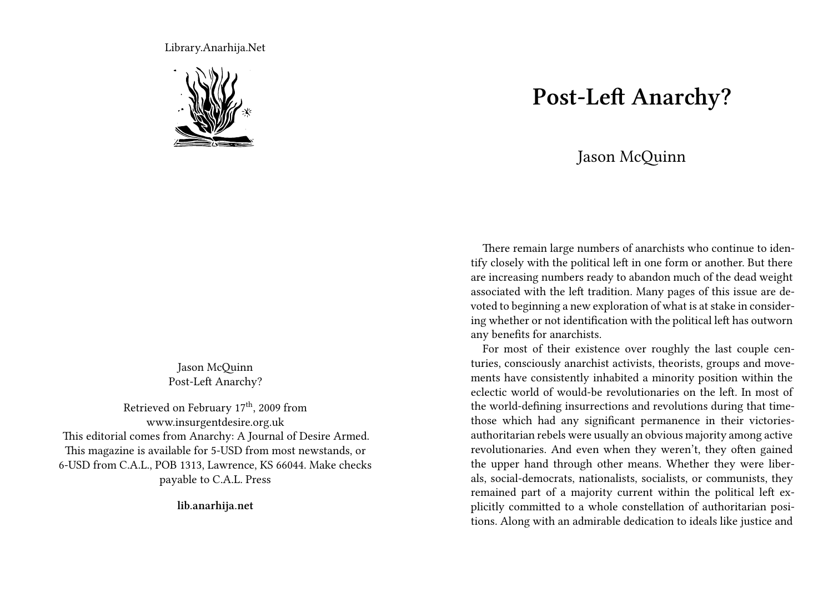Library.Anarhija.Net



Jason McQuinn Post-Left Anarchy?

Retrieved on February 17<sup>th</sup>, 2009 from www.insurgentdesire.org.uk This editorial comes from Anarchy: A Journal of Desire Armed. This magazine is available for 5-USD from most newstands, or 6-USD from C.A.L., POB 1313, Lawrence, KS 66044. Make checks payable to C.A.L. Press

**lib.anarhija.net**

## **Post-Left Anarchy?**

## Jason McQuinn

There remain large numbers of anarchists who continue to identify closely with the political left in one form or another. But there are increasing numbers ready to abandon much of the dead weight associated with the left tradition. Many pages of this issue are devoted to beginning a new exploration of what is at stake in considering whether or not identification with the political left has outworn any benefits for anarchists.

For most of their existence over roughly the last couple centuries, consciously anarchist activists, theorists, groups and movements have consistently inhabited a minority position within the eclectic world of would-be revolutionaries on the left. In most of the world-defining insurrections and revolutions during that timethose which had any significant permanence in their victoriesauthoritarian rebels were usually an obvious majority among active revolutionaries. And even when they weren't, they often gained the upper hand through other means. Whether they were liberals, social-democrats, nationalists, socialists, or communists, they remained part of a majority current within the political left explicitly committed to a whole constellation of authoritarian positions. Along with an admirable dedication to ideals like justice and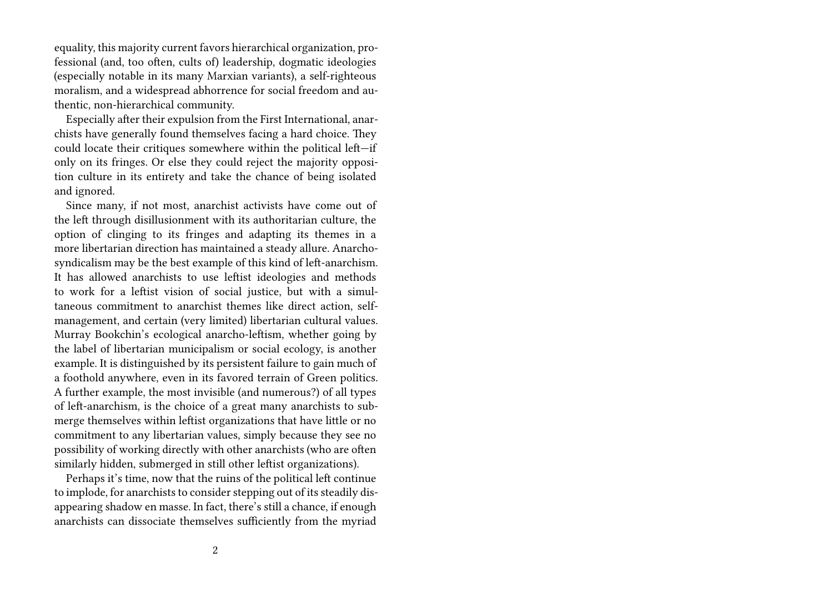equality, this majority current favors hierarchical organization, professional (and, too often, cults of) leadership, dogmatic ideologies (especially notable in its many Marxian variants), a self-righteous moralism, and a widespread abhorrence for social freedom and authentic, non-hierarchical community.

Especially after their expulsion from the First International, anarchists have generally found themselves facing a hard choice. They could locate their critiques somewhere within the political left—if only on its fringes. Or else they could reject the majority opposition culture in its entirety and take the chance of being isolated and ignored.

Since many, if not most, anarchist activists have come out of the left through disillusionment with its authoritarian culture, the option of clinging to its fringes and adapting its themes in a more libertarian direction has maintained a steady allure. Anarchosyndicalism may be the best example of this kind of left-anarchism. It has allowed anarchists to use leftist ideologies and methods to work for a leftist vision of social justice, but with a simultaneous commitment to anarchist themes like direct action, selfmanagement, and certain (very limited) libertarian cultural values. Murray Bookchin's ecological anarcho-leftism, whether going by the label of libertarian municipalism or social ecology, is another example. It is distinguished by its persistent failure to gain much of a foothold anywhere, even in its favored terrain of Green politics. A further example, the most invisible (and numerous?) of all types of left-anarchism, is the choice of a great many anarchists to submerge themselves within leftist organizations that have little or no commitment to any libertarian values, simply because they see no possibility of working directly with other anarchists (who are often similarly hidden, submerged in still other leftist organizations).

Perhaps it's time, now that the ruins of the political left continue to implode, for anarchists to consider stepping out of its steadily disappearing shadow en masse. In fact, there's still a chance, if enough anarchists can dissociate themselves sufficiently from the myriad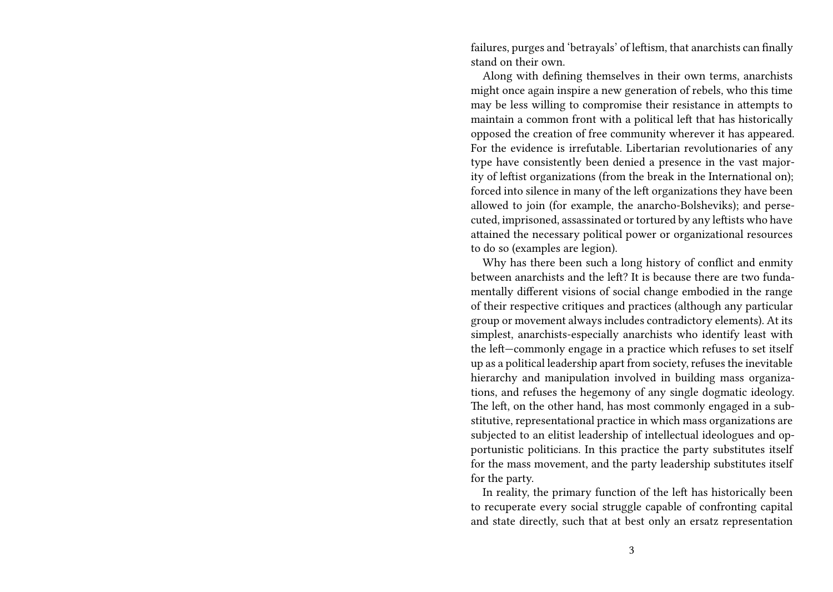failures, purges and 'betrayals' of leftism, that anarchists can finally stand on their own.

Along with defining themselves in their own terms, anarchists might once again inspire a new generation of rebels, who this time may be less willing to compromise their resistance in attempts to maintain a common front with a political left that has historically opposed the creation of free community wherever it has appeared. For the evidence is irrefutable. Libertarian revolutionaries of any type have consistently been denied a presence in the vast majority of leftist organizations (from the break in the International on); forced into silence in many of the left organizations they have been allowed to join (for example, the anarcho-Bolsheviks); and persecuted, imprisoned, assassinated or tortured by any leftists who have attained the necessary political power or organizational resources to do so (examples are legion).

Why has there been such a long history of conflict and enmity between anarchists and the left? It is because there are two fundamentally different visions of social change embodied in the range of their respective critiques and practices (although any particular group or movement always includes contradictory elements). At its simplest, anarchists-especially anarchists who identify least with the left—commonly engage in a practice which refuses to set itself up as a political leadership apart from society, refuses the inevitable hierarchy and manipulation involved in building mass organizations, and refuses the hegemony of any single dogmatic ideology. The left, on the other hand, has most commonly engaged in a substitutive, representational practice in which mass organizations are subjected to an elitist leadership of intellectual ideologues and opportunistic politicians. In this practice the party substitutes itself for the mass movement, and the party leadership substitutes itself for the party.

In reality, the primary function of the left has historically been to recuperate every social struggle capable of confronting capital and state directly, such that at best only an ersatz representation